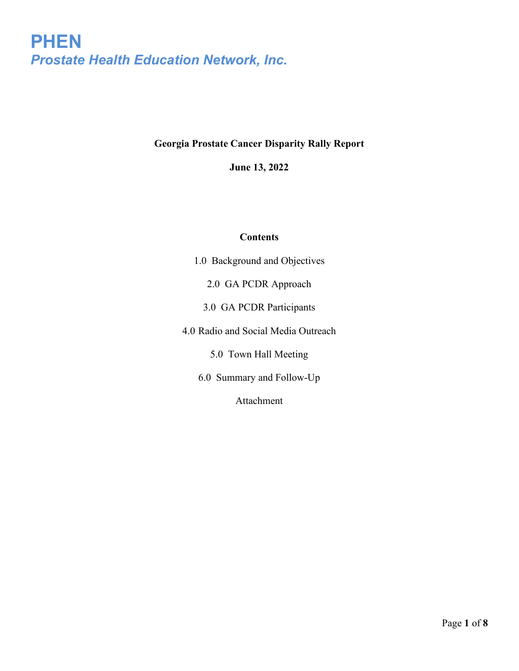## **Georgia Prostate Cancer Disparity Rally Report**

**June 13, 2022**

### **Contents**

1.0 Background and Objectives

2.0 GA PCDR Approach

3.0 GA PCDR Participants

4.0 Radio and Social Media Outreach

5.0 Town Hall Meeting

6.0 Summary and Follow-Up

Attachment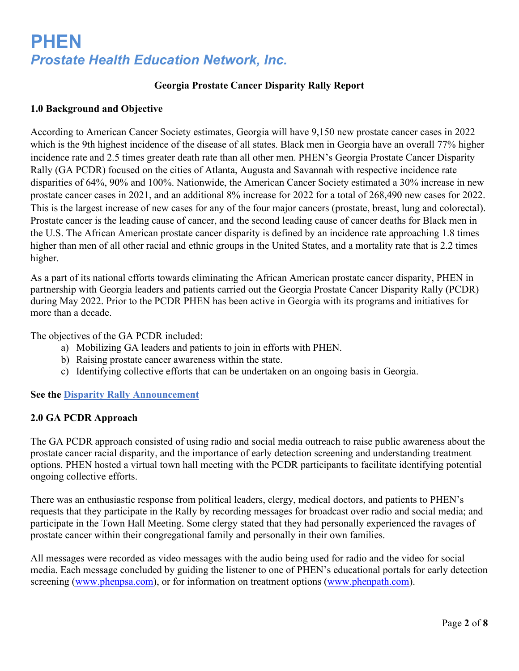### **Georgia Prostate Cancer Disparity Rally Report**

#### **1.0 Background and Objective**

According to American Cancer Society estimates, Georgia will have 9,150 new prostate cancer cases in 2022 which is the 9th highest incidence of the disease of all states. Black men in Georgia have an overall 77% higher incidence rate and 2.5 times greater death rate than all other men. PHEN's Georgia Prostate Cancer Disparity Rally (GA PCDR) focused on the cities of Atlanta, Augusta and Savannah with respective incidence rate disparities of 64%, 90% and 100%. Nationwide, the American Cancer Society estimated a 30% increase in new prostate cancer cases in 2021, and an additional 8% increase for 2022 for a total of 268,490 new cases for 2022. This is the largest increase of new cases for any of the four major cancers (prostate, breast, lung and colorectal). Prostate cancer is the leading cause of cancer, and the second leading cause of cancer deaths for Black men in the U.S. The African American prostate cancer disparity is defined by an incidence rate approaching 1.8 times higher than men of all other racial and ethnic groups in the United States, and a mortality rate that is 2.2 times higher.

As a part of its national efforts towards eliminating the African American prostate cancer disparity, PHEN in partnership with Georgia leaders and patients carried out the Georgia Prostate Cancer Disparity Rally (PCDR) during May 2022. Prior to the PCDR PHEN has been active in Georgia with its programs and initiatives for more than a decade.

The objectives of the GA PCDR included:

- a) Mobilizing GA leaders and patients to join in efforts with PHEN.
- b) Raising prostate cancer awareness within the state.
- c) Identifying collective efforts that can be undertaken on an ongoing basis in Georgia.

#### **See the [Disparity Rally Announcement](https://conta.cc/3uETc0i)**

#### **2.0 GA PCDR Approach**

The GA PCDR approach consisted of using radio and social media outreach to raise public awareness about the prostate cancer racial disparity, and the importance of early detection screening and understanding treatment options. PHEN hosted a virtual town hall meeting with the PCDR participants to facilitate identifying potential ongoing collective efforts.

There was an enthusiastic response from political leaders, clergy, medical doctors, and patients to PHEN's requests that they participate in the Rally by recording messages for broadcast over radio and social media; and participate in the Town Hall Meeting. Some clergy stated that they had personally experienced the ravages of prostate cancer within their congregational family and personally in their own families.

All messages were recorded as video messages with the audio being used for radio and the video for social media. Each message concluded by guiding the listener to one of PHEN's educational portals for early detection screening [\(www.phenpsa.com\)](http://www.phenpsa.com/), or for information on treatment options [\(www.phenpath.com\)](http://www.phenpath.com/).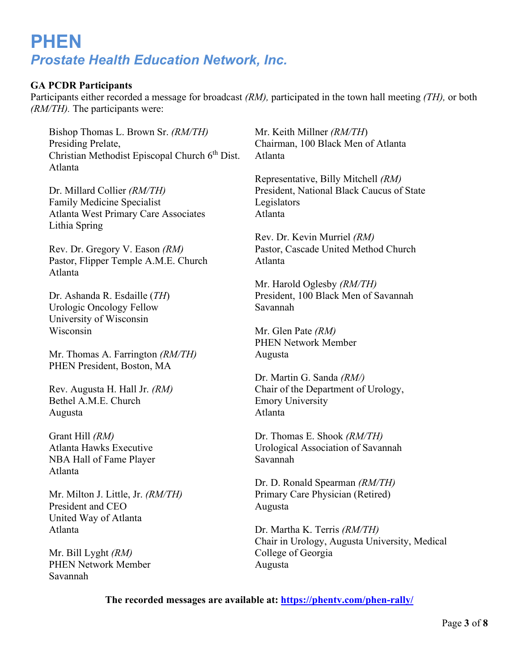### **GA PCDR Participants**

Participants either recorded a message for broadcast *(RM),* participated in the town hall meeting *(TH),* or both *(RM/TH).* The participants were:

Bishop Thomas L. Brown Sr. *(RM/TH)* Presiding Prelate, Christian Methodist Episcopal Church 6<sup>th</sup> Dist. Atlanta

Dr. Millard Collier *(RM/TH)* Family Medicine Specialist Atlanta West Primary Care Associates Lithia Spring

Rev. Dr. Gregory V. Eason *(RM)* Pastor, Flipper Temple A.M.E. Church Atlanta

Dr. Ashanda R. Esdaille (*TH*) Urologic Oncology Fellow University of Wisconsin Wisconsin

Mr. Thomas A. Farrington *(RM/TH)* PHEN President, Boston, MA

Rev. Augusta H. Hall Jr. *(RM)* Bethel A.M.E. Church Augusta

Grant Hill *(RM)* Atlanta Hawks Executive NBA Hall of Fame Player Atlanta

Mr. Milton J. Little, Jr. *(RM/TH)* President and CEO United Way of Atlanta Atlanta

Mr. Bill Lyght *(RM)* PHEN Network Member Savannah

Mr. Keith Millner *(RM/TH*) Chairman, 100 Black Men of Atlanta Atlanta

Representative, Billy Mitchell *(RM)* President, National Black Caucus of State Legislators Atlanta

Rev. Dr. Kevin Murriel *(RM)* Pastor, Cascade United Method Church Atlanta

Mr. Harold Oglesby *(RM/TH)* President, 100 Black Men of Savannah Savannah

Mr. Glen Pate *(RM)* PHEN Network Member Augusta

Dr. Martin G. Sanda *(RM/)* Chair of the Department of Urology, Emory University Atlanta

Dr. Thomas E. Shook *(RM/TH)* Urological Association of Savannah Savannah

Dr. D. Ronald Spearman *(RM/TH)* Primary Care Physician (Retired) Augusta

Dr. Martha K. Terris *(RM/TH)*  Chair in Urology, Augusta University, Medical College of Georgia Augusta

**The recorded messages are available at:<https://phentv.com/phen-rally/>**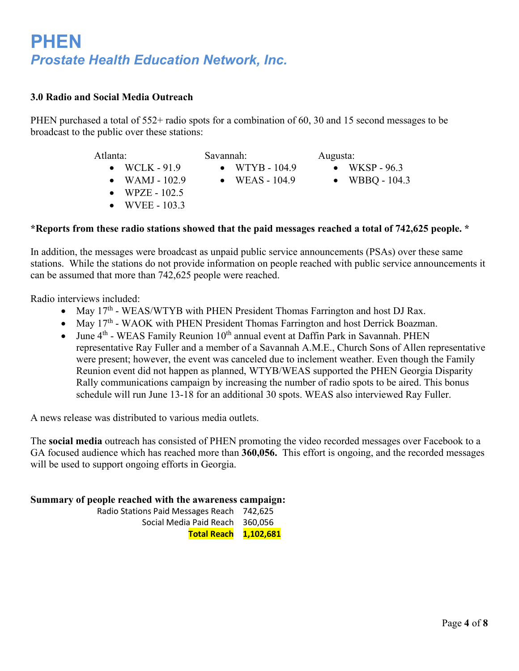### **3.0 Radio and Social Media Outreach**

PHEN purchased a total of 552+ radio spots for a combination of 60, 30 and 15 second messages to be broadcast to the public over these stations:

| Atlanta:              | Savannah:        | Augusta:         |
|-----------------------|------------------|------------------|
| $\bullet$ WCLK - 91.9 | • WTYB - $104.9$ | • WKSP - $96.3$  |
| • WAMJ - $102.9$      | • WEAS $-104.9$  | • WBBQ - $104.3$ |
| • WPZE - $102.5$      |                  |                  |
| • WVEE - $103.3$      |                  |                  |

#### **\*Reports from these radio stations showed that the paid messages reached a total of 742,625 people. \***

In addition, the messages were broadcast as unpaid public service announcements (PSAs) over these same stations. While the stations do not provide information on people reached with public service announcements it can be assumed that more than 742,625 people were reached.

Radio interviews included:

- May 17<sup>th</sup> WEAS/WTYB with PHEN President Thomas Farrington and host DJ Rax.
- May  $17<sup>th</sup>$  WAOK with PHEN President Thomas Farrington and host Derrick Boazman.
- June 4<sup>th</sup> WEAS Family Reunion 10<sup>th</sup> annual event at Daffin Park in Savannah. PHEN representative Ray Fuller and a member of a Savannah A.M.E., Church Sons of Allen representative were present; however, the event was canceled due to inclement weather. Even though the Family Reunion event did not happen as planned, WTYB/WEAS supported the PHEN Georgia Disparity Rally communications campaign by increasing the number of radio spots to be aired. This bonus schedule will run June 13-18 for an additional 30 spots. WEAS also interviewed Ray Fuller.

A news release was distributed to various media outlets.

The **social media** outreach has consisted of PHEN promoting the video recorded messages over Facebook to a GA focused audience which has reached more than **360,056.** This effort is ongoing, and the recorded messages will be used to support ongoing efforts in Georgia.

**Summary of people reached with the awareness campaign:**

Radio Stations Paid Messages Reach 742,625 Social Media Paid Reach 360,056 **Total Reach 1,102,681**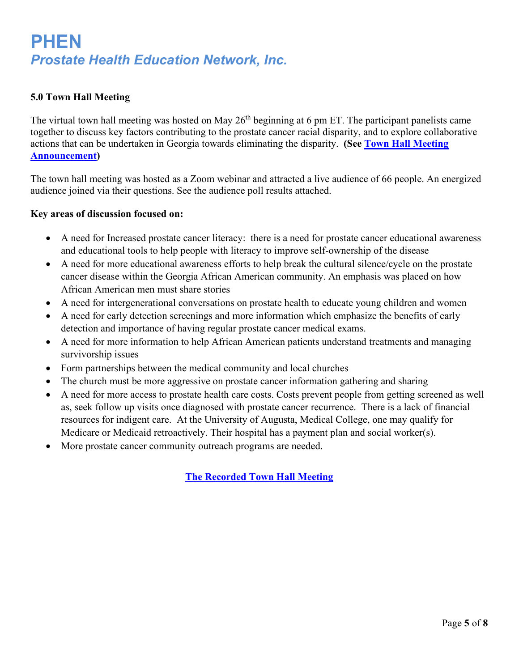### **5.0 Town Hall Meeting**

The virtual town hall meeting was hosted on May 26<sup>th</sup> beginning at 6 pm ET. The participant panelists came together to discuss key factors contributing to the prostate cancer racial disparity, and to explore collaborative actions that can be undertaken in Georgia towards eliminating the disparity. **(See [Town Hall Meeting](https://conta.cc/3PDC9V3)  [Announcement\)](https://conta.cc/3PDC9V3)**

The town hall meeting was hosted as a Zoom webinar and attracted a live audience of 66 people. An energized audience joined via their questions. See the audience poll results attached.

### **Key areas of discussion focused on:**

- A need for Increased prostate cancer literacy: there is a need for prostate cancer educational awareness and educational tools to help people with literacy to improve self-ownership of the disease
- A need for more educational awareness efforts to help break the cultural silence/cycle on the prostate cancer disease within the Georgia African American community. An emphasis was placed on how African American men must share stories
- A need for intergenerational conversations on prostate health to educate young children and women
- A need for early detection screenings and more information which emphasize the benefits of early detection and importance of having regular prostate cancer medical exams.
- A need for more information to help African American patients understand treatments and managing survivorship issues
- Form partnerships between the medical community and local churches
- The church must be more aggressive on prostate cancer information gathering and sharing
- A need for more access to prostate health care costs. Costs prevent people from getting screened as well as, seek follow up visits once diagnosed with prostate cancer recurrence. There is a lack of financial resources for indigent care. At the University of Augusta, Medical College, one may qualify for Medicare or Medicaid retroactively. Their hospital has a payment plan and social worker(s).
- More prostate cancer community outreach programs are needed.

**[The Recorded Town Hall Meeting](https://phentv.com/aiovg_videos/georgia-prostate-cancer-disparity-rally-town-hall/)**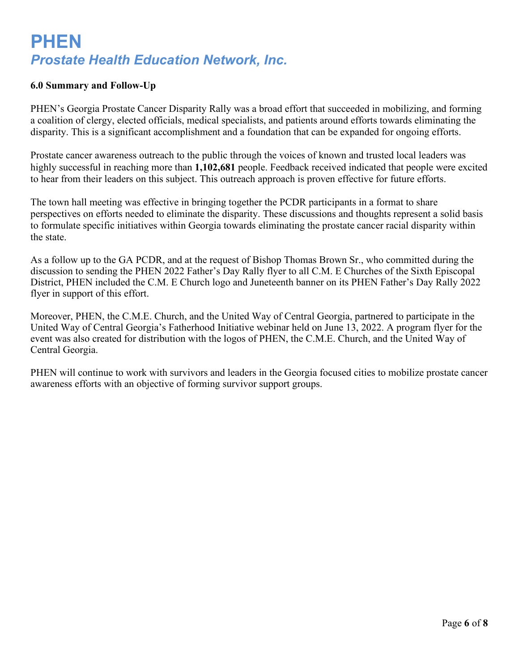### **6.0 Summary and Follow-Up**

PHEN's Georgia Prostate Cancer Disparity Rally was a broad effort that succeeded in mobilizing, and forming a coalition of clergy, elected officials, medical specialists, and patients around efforts towards eliminating the disparity. This is a significant accomplishment and a foundation that can be expanded for ongoing efforts.

Prostate cancer awareness outreach to the public through the voices of known and trusted local leaders was highly successful in reaching more than **1,102,681** people. Feedback received indicated that people were excited to hear from their leaders on this subject. This outreach approach is proven effective for future efforts.

The town hall meeting was effective in bringing together the PCDR participants in a format to share perspectives on efforts needed to eliminate the disparity. These discussions and thoughts represent a solid basis to formulate specific initiatives within Georgia towards eliminating the prostate cancer racial disparity within the state.

As a follow up to the GA PCDR, and at the request of Bishop Thomas Brown Sr., who committed during the discussion to sending the PHEN 2022 Father's Day Rally flyer to all C.M. E Churches of the Sixth Episcopal District, PHEN included the C.M. E Church logo and Juneteenth banner on its PHEN Father's Day Rally 2022 flyer in support of this effort.

Moreover, PHEN, the C.M.E. Church, and the United Way of Central Georgia, partnered to participate in the United Way of Central Georgia's Fatherhood Initiative webinar held on June 13, 2022. A program flyer for the event was also created for distribution with the logos of PHEN, the C.M.E. Church, and the United Way of Central Georgia.

PHEN will continue to work with survivors and leaders in the Georgia focused cities to mobilize prostate cancer awareness efforts with an objective of forming survivor support groups.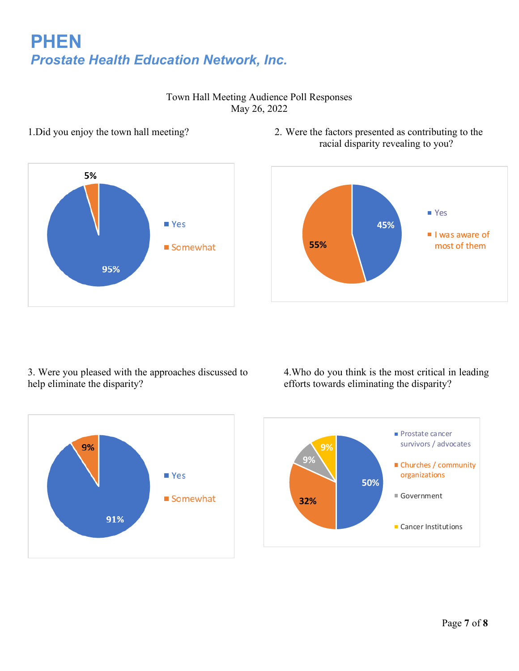

Town Hall Meeting Audience Poll Responses May 26, 2022

1.Did you enjoy the town hall meeting? 2. Were the factors presented as contributing to the racial disparity revealing to you?



3. Were you pleased with the approaches discussed to help eliminate the disparity?

4.Who do you think is the most critical in leading efforts towards eliminating the disparity?